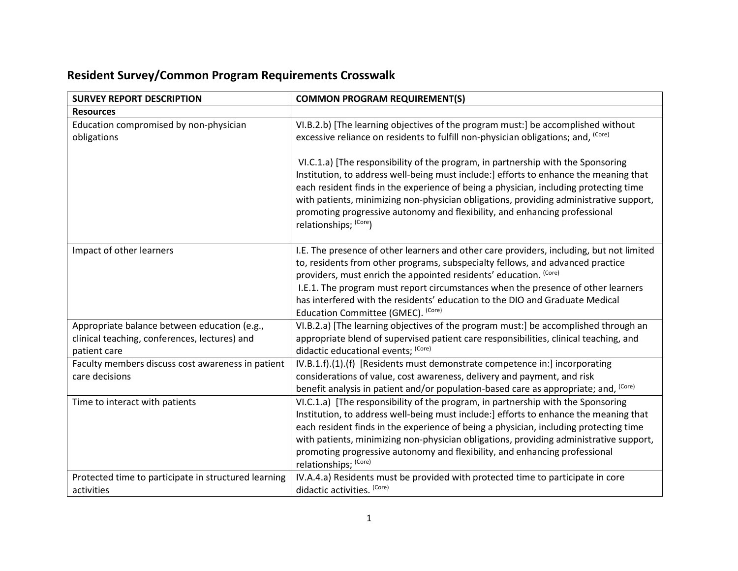## **Resident Survey/Common Program Requirements Crosswalk**

| <b>SURVEY REPORT DESCRIPTION</b>                                                                              | <b>COMMON PROGRAM REQUIREMENT(S)</b>                                                                                                                                                                                                                                                                                                                                                                                                                                |
|---------------------------------------------------------------------------------------------------------------|---------------------------------------------------------------------------------------------------------------------------------------------------------------------------------------------------------------------------------------------------------------------------------------------------------------------------------------------------------------------------------------------------------------------------------------------------------------------|
| <b>Resources</b>                                                                                              |                                                                                                                                                                                                                                                                                                                                                                                                                                                                     |
| Education compromised by non-physician<br>obligations                                                         | VI.B.2.b) [The learning objectives of the program must:] be accomplished without<br>excessive reliance on residents to fulfill non-physician obligations; and, (Core)                                                                                                                                                                                                                                                                                               |
|                                                                                                               | VI.C.1.a) [The responsibility of the program, in partnership with the Sponsoring<br>Institution, to address well-being must include:] efforts to enhance the meaning that<br>each resident finds in the experience of being a physician, including protecting time<br>with patients, minimizing non-physician obligations, providing administrative support,<br>promoting progressive autonomy and flexibility, and enhancing professional<br>relationships; (Core) |
| Impact of other learners                                                                                      | I.E. The presence of other learners and other care providers, including, but not limited<br>to, residents from other programs, subspecialty fellows, and advanced practice<br>providers, must enrich the appointed residents' education. (Core)<br>I.E.1. The program must report circumstances when the presence of other learners<br>has interfered with the residents' education to the DIO and Graduate Medical<br>Education Committee (GMEC). (Core)           |
| Appropriate balance between education (e.g.,<br>clinical teaching, conferences, lectures) and<br>patient care | VI.B.2.a) [The learning objectives of the program must:] be accomplished through an<br>appropriate blend of supervised patient care responsibilities, clinical teaching, and<br>didactic educational events; (Core)                                                                                                                                                                                                                                                 |
| Faculty members discuss cost awareness in patient<br>care decisions                                           | IV.B.1.f).(1).(f) [Residents must demonstrate competence in:] incorporating<br>considerations of value, cost awareness, delivery and payment, and risk<br>benefit analysis in patient and/or population-based care as appropriate; and, <sup>(Core)</sup>                                                                                                                                                                                                           |
| Time to interact with patients                                                                                | VI.C.1.a) [The responsibility of the program, in partnership with the Sponsoring<br>Institution, to address well-being must include:] efforts to enhance the meaning that<br>each resident finds in the experience of being a physician, including protecting time<br>with patients, minimizing non-physician obligations, providing administrative support,<br>promoting progressive autonomy and flexibility, and enhancing professional<br>relationships; (Core) |
| Protected time to participate in structured learning<br>activities                                            | IV.A.4.a) Residents must be provided with protected time to participate in core<br>didactic activities. (Core)                                                                                                                                                                                                                                                                                                                                                      |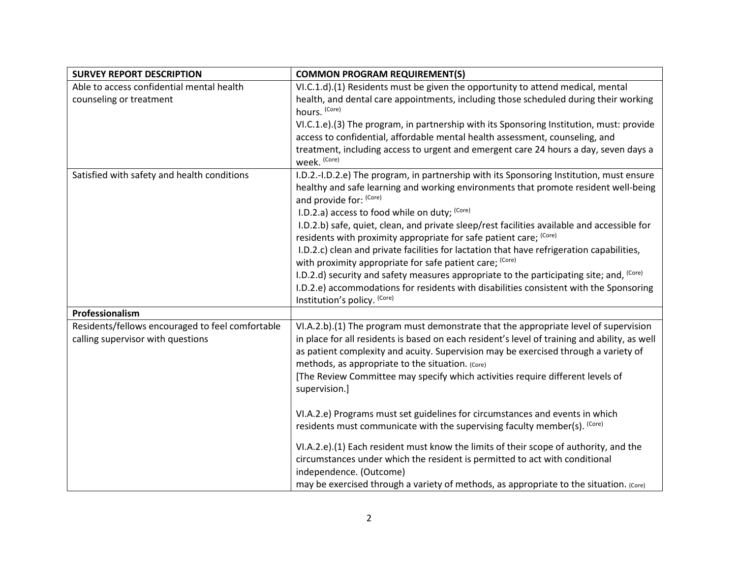| <b>SURVEY REPORT DESCRIPTION</b>                                                      | <b>COMMON PROGRAM REQUIREMENT(S)</b>                                                                                                                                                                                                                                                                                                                                                                                                |
|---------------------------------------------------------------------------------------|-------------------------------------------------------------------------------------------------------------------------------------------------------------------------------------------------------------------------------------------------------------------------------------------------------------------------------------------------------------------------------------------------------------------------------------|
| Able to access confidential mental health                                             | VI.C.1.d).(1) Residents must be given the opportunity to attend medical, mental                                                                                                                                                                                                                                                                                                                                                     |
| counseling or treatment                                                               | health, and dental care appointments, including those scheduled during their working<br>hours. (Core)                                                                                                                                                                                                                                                                                                                               |
|                                                                                       | VI.C.1.e).(3) The program, in partnership with its Sponsoring Institution, must: provide                                                                                                                                                                                                                                                                                                                                            |
|                                                                                       | access to confidential, affordable mental health assessment, counseling, and                                                                                                                                                                                                                                                                                                                                                        |
|                                                                                       | treatment, including access to urgent and emergent care 24 hours a day, seven days a<br>week. (Core)                                                                                                                                                                                                                                                                                                                                |
| Satisfied with safety and health conditions                                           | I.D.2.-I.D.2.e) The program, in partnership with its Sponsoring Institution, must ensure<br>healthy and safe learning and working environments that promote resident well-being<br>and provide for: (Core)                                                                                                                                                                                                                          |
|                                                                                       | I.D.2.a) access to food while on duty; $(Core)$                                                                                                                                                                                                                                                                                                                                                                                     |
|                                                                                       | I.D.2.b) safe, quiet, clean, and private sleep/rest facilities available and accessible for<br>residents with proximity appropriate for safe patient care; (Core)                                                                                                                                                                                                                                                                   |
|                                                                                       | I.D.2.c) clean and private facilities for lactation that have refrigeration capabilities,                                                                                                                                                                                                                                                                                                                                           |
|                                                                                       | with proximity appropriate for safe patient care; (Core)                                                                                                                                                                                                                                                                                                                                                                            |
|                                                                                       | I.D.2.d) security and safety measures appropriate to the participating site; and, (Core)                                                                                                                                                                                                                                                                                                                                            |
|                                                                                       | I.D.2.e) accommodations for residents with disabilities consistent with the Sponsoring<br>Institution's policy. (Core)                                                                                                                                                                                                                                                                                                              |
| Professionalism                                                                       |                                                                                                                                                                                                                                                                                                                                                                                                                                     |
| Residents/fellows encouraged to feel comfortable<br>calling supervisor with questions | VI.A.2.b).(1) The program must demonstrate that the appropriate level of supervision<br>in place for all residents is based on each resident's level of training and ability, as well<br>as patient complexity and acuity. Supervision may be exercised through a variety of<br>methods, as appropriate to the situation. (Core)<br>[The Review Committee may specify which activities require different levels of<br>supervision.] |
|                                                                                       | VI.A.2.e) Programs must set guidelines for circumstances and events in which<br>residents must communicate with the supervising faculty member(s). (Core)                                                                                                                                                                                                                                                                           |
|                                                                                       | VI.A.2.e).(1) Each resident must know the limits of their scope of authority, and the<br>circumstances under which the resident is permitted to act with conditional<br>independence. (Outcome)<br>may be exercised through a variety of methods, as appropriate to the situation. (Core)                                                                                                                                           |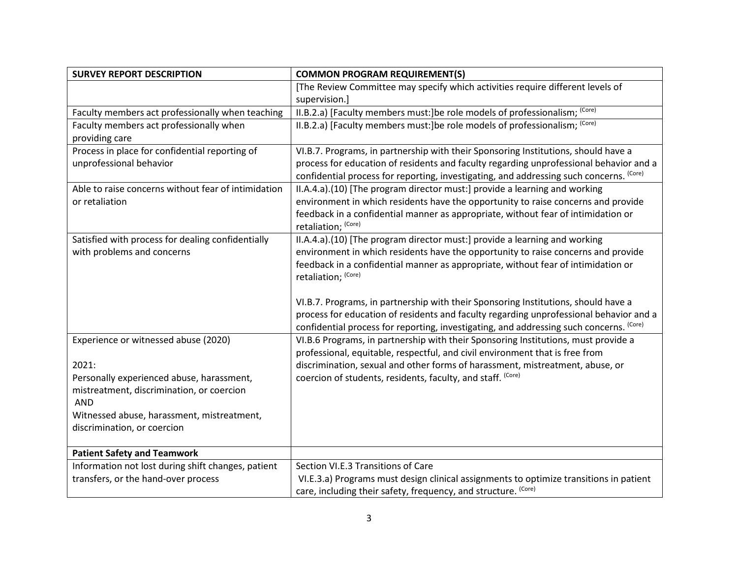| <b>SURVEY REPORT DESCRIPTION</b>                    | <b>COMMON PROGRAM REQUIREMENT(S)</b>                                                    |
|-----------------------------------------------------|-----------------------------------------------------------------------------------------|
|                                                     | [The Review Committee may specify which activities require different levels of          |
|                                                     | supervision.]                                                                           |
| Faculty members act professionally when teaching    | II.B.2.a) [Faculty members must:]be role models of professionalism; (Core)              |
| Faculty members act professionally when             | II.B.2.a) [Faculty members must:]be role models of professionalism; (Core)              |
| providing care                                      |                                                                                         |
| Process in place for confidential reporting of      | VI.B.7. Programs, in partnership with their Sponsoring Institutions, should have a      |
| unprofessional behavior                             | process for education of residents and faculty regarding unprofessional behavior and a  |
|                                                     | confidential process for reporting, investigating, and addressing such concerns. (Core) |
| Able to raise concerns without fear of intimidation | II.A.4.a).(10) [The program director must:] provide a learning and working              |
| or retaliation                                      | environment in which residents have the opportunity to raise concerns and provide       |
|                                                     | feedback in a confidential manner as appropriate, without fear of intimidation or       |
|                                                     | retaliation; (Core)                                                                     |
| Satisfied with process for dealing confidentially   | II.A.4.a).(10) [The program director must:] provide a learning and working              |
| with problems and concerns                          | environment in which residents have the opportunity to raise concerns and provide       |
|                                                     | feedback in a confidential manner as appropriate, without fear of intimidation or       |
|                                                     | retaliation; (Core)                                                                     |
|                                                     |                                                                                         |
|                                                     | VI.B.7. Programs, in partnership with their Sponsoring Institutions, should have a      |
|                                                     | process for education of residents and faculty regarding unprofessional behavior and a  |
|                                                     | confidential process for reporting, investigating, and addressing such concerns. (Core) |
| Experience or witnessed abuse (2020)                | VI.B.6 Programs, in partnership with their Sponsoring Institutions, must provide a      |
|                                                     | professional, equitable, respectful, and civil environment that is free from            |
| 2021:                                               | discrimination, sexual and other forms of harassment, mistreatment, abuse, or           |
| Personally experienced abuse, harassment,           | coercion of students, residents, faculty, and staff. (Core)                             |
| mistreatment, discrimination, or coercion           |                                                                                         |
| <b>AND</b>                                          |                                                                                         |
| Witnessed abuse, harassment, mistreatment,          |                                                                                         |
| discrimination, or coercion                         |                                                                                         |
| <b>Patient Safety and Teamwork</b>                  |                                                                                         |
| Information not lost during shift changes, patient  | Section VI.E.3 Transitions of Care                                                      |
| transfers, or the hand-over process                 | VI.E.3.a) Programs must design clinical assignments to optimize transitions in patient  |
|                                                     | care, including their safety, frequency, and structure. (Core)                          |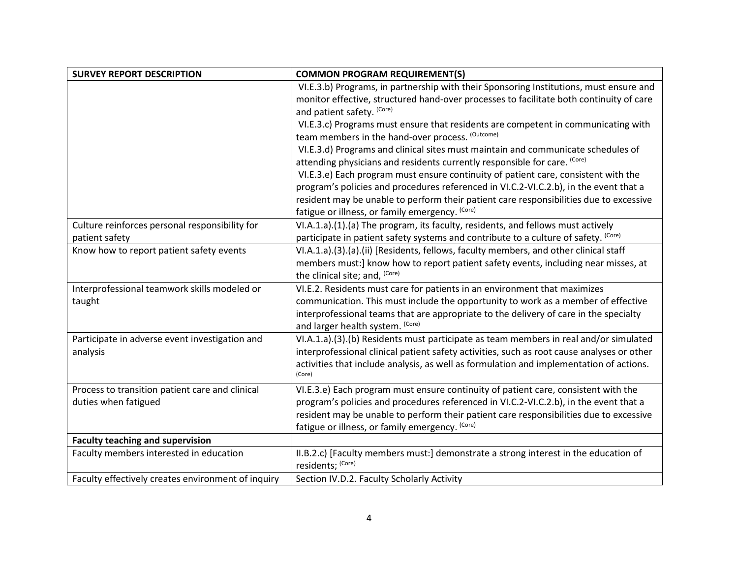| <b>SURVEY REPORT DESCRIPTION</b>                   | <b>COMMON PROGRAM REQUIREMENT(S)</b>                                                                                                      |
|----------------------------------------------------|-------------------------------------------------------------------------------------------------------------------------------------------|
|                                                    | VI.E.3.b) Programs, in partnership with their Sponsoring Institutions, must ensure and                                                    |
|                                                    | monitor effective, structured hand-over processes to facilitate both continuity of care                                                   |
|                                                    | and patient safety. (Core)                                                                                                                |
|                                                    | VI.E.3.c) Programs must ensure that residents are competent in communicating with<br>team members in the hand-over process. (Outcome)     |
|                                                    | VI.E.3.d) Programs and clinical sites must maintain and communicate schedules of                                                          |
|                                                    | attending physicians and residents currently responsible for care. (Core)                                                                 |
|                                                    | VI.E.3.e) Each program must ensure continuity of patient care, consistent with the                                                        |
|                                                    | program's policies and procedures referenced in VI.C.2-VI.C.2.b), in the event that a                                                     |
|                                                    | resident may be unable to perform their patient care responsibilities due to excessive<br>fatigue or illness, or family emergency. (Core) |
| Culture reinforces personal responsibility for     | VI.A.1.a).(1).(a) The program, its faculty, residents, and fellows must actively                                                          |
| patient safety                                     | participate in patient safety systems and contribute to a culture of safety. (Core)                                                       |
| Know how to report patient safety events           | VI.A.1.a).(3).(a).(ii) [Residents, fellows, faculty members, and other clinical staff                                                     |
|                                                    | members must:] know how to report patient safety events, including near misses, at                                                        |
|                                                    | the clinical site; and, (Core)                                                                                                            |
| Interprofessional teamwork skills modeled or       | VI.E.2. Residents must care for patients in an environment that maximizes                                                                 |
| taught                                             | communication. This must include the opportunity to work as a member of effective                                                         |
|                                                    | interprofessional teams that are appropriate to the delivery of care in the specialty<br>and larger health system. (Core)                 |
| Participate in adverse event investigation and     | VI.A.1.a).(3).(b) Residents must participate as team members in real and/or simulated                                                     |
| analysis                                           | interprofessional clinical patient safety activities, such as root cause analyses or other                                                |
|                                                    | activities that include analysis, as well as formulation and implementation of actions.<br>(Core)                                         |
| Process to transition patient care and clinical    | VI.E.3.e) Each program must ensure continuity of patient care, consistent with the                                                        |
| duties when fatigued                               | program's policies and procedures referenced in VI.C.2-VI.C.2.b), in the event that a                                                     |
|                                                    | resident may be unable to perform their patient care responsibilities due to excessive                                                    |
|                                                    | fatigue or illness, or family emergency. (Core)                                                                                           |
| <b>Faculty teaching and supervision</b>            |                                                                                                                                           |
| Faculty members interested in education            | II.B.2.c) [Faculty members must:] demonstrate a strong interest in the education of<br>residents; (Core)                                  |
| Faculty effectively creates environment of inquiry | Section IV.D.2. Faculty Scholarly Activity                                                                                                |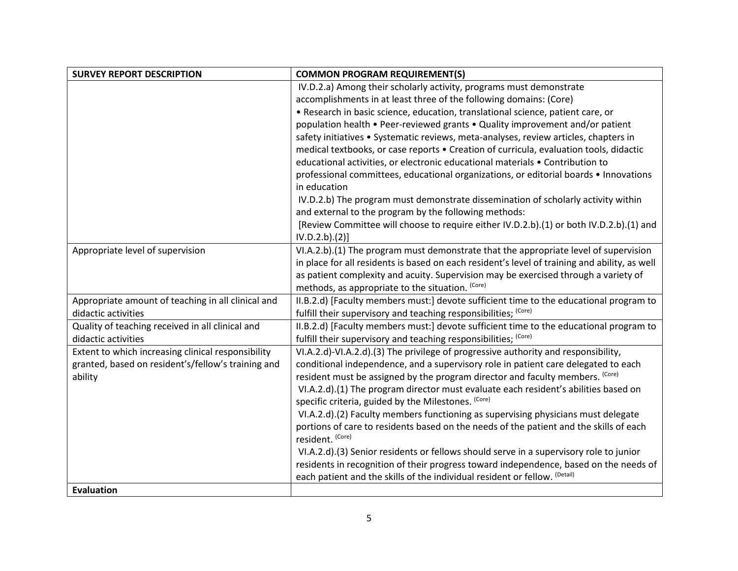| <b>SURVEY REPORT DESCRIPTION</b>                   | <b>COMMON PROGRAM REQUIREMENT(S)</b>                                                                       |
|----------------------------------------------------|------------------------------------------------------------------------------------------------------------|
|                                                    | IV.D.2.a) Among their scholarly activity, programs must demonstrate                                        |
|                                                    | accomplishments in at least three of the following domains: (Core)                                         |
|                                                    | • Research in basic science, education, translational science, patient care, or                            |
|                                                    | population health • Peer-reviewed grants • Quality improvement and/or patient                              |
|                                                    | safety initiatives • Systematic reviews, meta-analyses, review articles, chapters in                       |
|                                                    | medical textbooks, or case reports . Creation of curricula, evaluation tools, didactic                     |
|                                                    | educational activities, or electronic educational materials . Contribution to                              |
|                                                    | professional committees, educational organizations, or editorial boards • Innovations                      |
|                                                    | in education                                                                                               |
|                                                    | IV.D.2.b) The program must demonstrate dissemination of scholarly activity within                          |
|                                                    | and external to the program by the following methods:                                                      |
|                                                    | [Review Committee will choose to require either IV.D.2.b).(1) or both IV.D.2.b).(1) and                    |
|                                                    | IV.D.2.b).(2)]                                                                                             |
| Appropriate level of supervision                   | VI.A.2.b).(1) The program must demonstrate that the appropriate level of supervision                       |
|                                                    | in place for all residents is based on each resident's level of training and ability, as well              |
|                                                    | as patient complexity and acuity. Supervision may be exercised through a variety of                        |
|                                                    | methods, as appropriate to the situation. (Core)                                                           |
| Appropriate amount of teaching in all clinical and | II.B.2.d) [Faculty members must:] devote sufficient time to the educational program to                     |
| didactic activities                                | fulfill their supervisory and teaching responsibilities; (Core)                                            |
| Quality of teaching received in all clinical and   | II.B.2.d) [Faculty members must:] devote sufficient time to the educational program to                     |
| didactic activities                                | fulfill their supervisory and teaching responsibilities; (Core)                                            |
| Extent to which increasing clinical responsibility | VI.A.2.d)-VI.A.2.d).(3) The privilege of progressive authority and responsibility,                         |
| granted, based on resident's/fellow's training and | conditional independence, and a supervisory role in patient care delegated to each                         |
| ability                                            | resident must be assigned by the program director and faculty members. (Core)                              |
|                                                    | VI.A.2.d).(1) The program director must evaluate each resident's abilities based on                        |
|                                                    | specific criteria, guided by the Milestones. (Core)                                                        |
|                                                    | VI.A.2.d).(2) Faculty members functioning as supervising physicians must delegate                          |
|                                                    | portions of care to residents based on the needs of the patient and the skills of each<br>resident. (Core) |
|                                                    | VI.A.2.d).(3) Senior residents or fellows should serve in a supervisory role to junior                     |
|                                                    | residents in recognition of their progress toward independence, based on the needs of                      |
|                                                    | each patient and the skills of the individual resident or fellow. <sup>(Detail)</sup>                      |
| <b>Evaluation</b>                                  |                                                                                                            |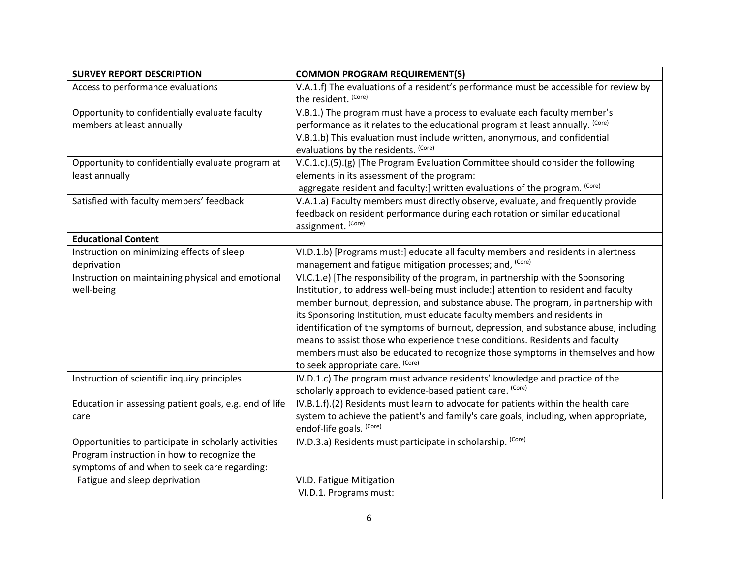| <b>SURVEY REPORT DESCRIPTION</b>                       | <b>COMMON PROGRAM REQUIREMENT(S)</b>                                                                          |
|--------------------------------------------------------|---------------------------------------------------------------------------------------------------------------|
| Access to performance evaluations                      | V.A.1.f) The evaluations of a resident's performance must be accessible for review by<br>the resident. (Core) |
| Opportunity to confidentially evaluate faculty         | V.B.1.) The program must have a process to evaluate each faculty member's                                     |
| members at least annually                              | performance as it relates to the educational program at least annually. (Core)                                |
|                                                        | V.B.1.b) This evaluation must include written, anonymous, and confidential                                    |
|                                                        | evaluations by the residents. (Core)                                                                          |
| Opportunity to confidentially evaluate program at      | V.C.1.c).(5).(g) [The Program Evaluation Committee should consider the following                              |
| least annually                                         | elements in its assessment of the program:                                                                    |
|                                                        | aggregate resident and faculty:] written evaluations of the program. (Core)                                   |
| Satisfied with faculty members' feedback               | V.A.1.a) Faculty members must directly observe, evaluate, and frequently provide                              |
|                                                        | feedback on resident performance during each rotation or similar educational                                  |
|                                                        | assignment. (Core)                                                                                            |
| <b>Educational Content</b>                             |                                                                                                               |
| Instruction on minimizing effects of sleep             | VI.D.1.b) [Programs must:] educate all faculty members and residents in alertness                             |
| deprivation                                            | management and fatigue mitigation processes; and, (Core)                                                      |
| Instruction on maintaining physical and emotional      | VI.C.1.e) [The responsibility of the program, in partnership with the Sponsoring                              |
| well-being                                             | Institution, to address well-being must include:] attention to resident and faculty                           |
|                                                        | member burnout, depression, and substance abuse. The program, in partnership with                             |
|                                                        | its Sponsoring Institution, must educate faculty members and residents in                                     |
|                                                        | identification of the symptoms of burnout, depression, and substance abuse, including                         |
|                                                        | means to assist those who experience these conditions. Residents and faculty                                  |
|                                                        | members must also be educated to recognize those symptoms in themselves and how                               |
|                                                        | to seek appropriate care. (Core)                                                                              |
| Instruction of scientific inquiry principles           | IV.D.1.c) The program must advance residents' knowledge and practice of the                                   |
|                                                        | scholarly approach to evidence-based patient care. (Core)                                                     |
| Education in assessing patient goals, e.g. end of life | IV.B.1.f).(2) Residents must learn to advocate for patients within the health care                            |
| care                                                   | system to achieve the patient's and family's care goals, including, when appropriate,                         |
|                                                        | endof-life goals. (Core)                                                                                      |
| Opportunities to participate in scholarly activities   | IV.D.3.a) Residents must participate in scholarship. (Core)                                                   |
| Program instruction in how to recognize the            |                                                                                                               |
| symptoms of and when to seek care regarding:           |                                                                                                               |
| Fatigue and sleep deprivation                          | VI.D. Fatigue Mitigation                                                                                      |
|                                                        | VI.D.1. Programs must:                                                                                        |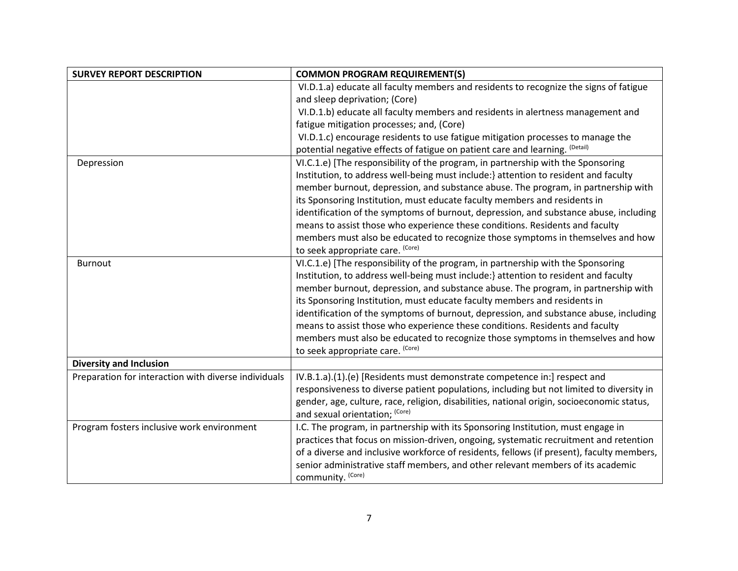| <b>SURVEY REPORT DESCRIPTION</b>                     | <b>COMMON PROGRAM REQUIREMENT(S)</b>                                                       |
|------------------------------------------------------|--------------------------------------------------------------------------------------------|
|                                                      | VI.D.1.a) educate all faculty members and residents to recognize the signs of fatigue      |
|                                                      | and sleep deprivation; (Core)                                                              |
|                                                      | VI.D.1.b) educate all faculty members and residents in alertness management and            |
|                                                      | fatigue mitigation processes; and, (Core)                                                  |
|                                                      | VI.D.1.c) encourage residents to use fatigue mitigation processes to manage the            |
|                                                      | potential negative effects of fatigue on patient care and learning. <sup>(Detail)</sup>    |
| Depression                                           | VI.C.1.e) [The responsibility of the program, in partnership with the Sponsoring           |
|                                                      | Institution, to address well-being must include:} attention to resident and faculty        |
|                                                      | member burnout, depression, and substance abuse. The program, in partnership with          |
|                                                      | its Sponsoring Institution, must educate faculty members and residents in                  |
|                                                      | identification of the symptoms of burnout, depression, and substance abuse, including      |
|                                                      | means to assist those who experience these conditions. Residents and faculty               |
|                                                      | members must also be educated to recognize those symptoms in themselves and how            |
|                                                      | to seek appropriate care. (Core)                                                           |
| <b>Burnout</b>                                       | VI.C.1.e) [The responsibility of the program, in partnership with the Sponsoring           |
|                                                      | Institution, to address well-being must include:} attention to resident and faculty        |
|                                                      | member burnout, depression, and substance abuse. The program, in partnership with          |
|                                                      | its Sponsoring Institution, must educate faculty members and residents in                  |
|                                                      | identification of the symptoms of burnout, depression, and substance abuse, including      |
|                                                      | means to assist those who experience these conditions. Residents and faculty               |
|                                                      | members must also be educated to recognize those symptoms in themselves and how            |
|                                                      | to seek appropriate care. (Core)                                                           |
| <b>Diversity and Inclusion</b>                       |                                                                                            |
| Preparation for interaction with diverse individuals | IV.B.1.a).(1).(e) [Residents must demonstrate competence in:] respect and                  |
|                                                      | responsiveness to diverse patient populations, including but not limited to diversity in   |
|                                                      | gender, age, culture, race, religion, disabilities, national origin, socioeconomic status, |
|                                                      | and sexual orientation; (Core)                                                             |
| Program fosters inclusive work environment           | I.C. The program, in partnership with its Sponsoring Institution, must engage in           |
|                                                      | practices that focus on mission-driven, ongoing, systematic recruitment and retention      |
|                                                      | of a diverse and inclusive workforce of residents, fellows (if present), faculty members,  |
|                                                      | senior administrative staff members, and other relevant members of its academic            |
|                                                      | community. (Core)                                                                          |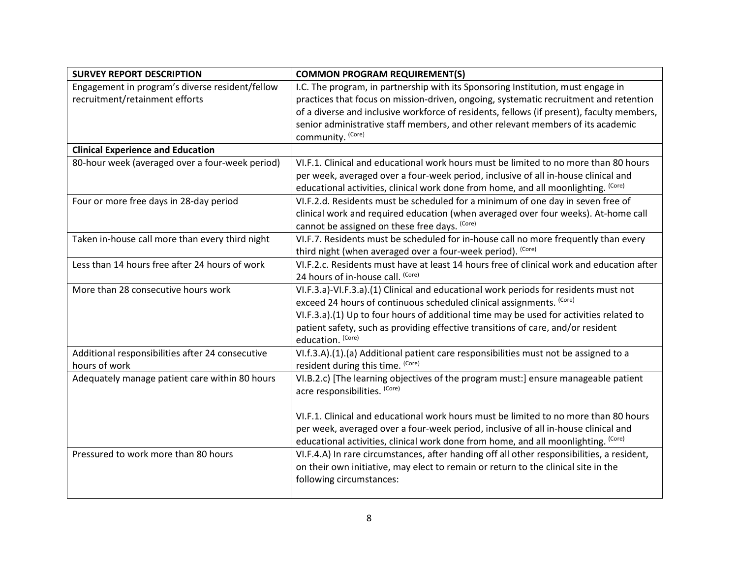| <b>SURVEY REPORT DESCRIPTION</b>                                                  | <b>COMMON PROGRAM REQUIREMENT(S)</b>                                                                                                                                                                                                                                                                                                                                                    |
|-----------------------------------------------------------------------------------|-----------------------------------------------------------------------------------------------------------------------------------------------------------------------------------------------------------------------------------------------------------------------------------------------------------------------------------------------------------------------------------------|
| Engagement in program's diverse resident/fellow<br>recruitment/retainment efforts | I.C. The program, in partnership with its Sponsoring Institution, must engage in<br>practices that focus on mission-driven, ongoing, systematic recruitment and retention<br>of a diverse and inclusive workforce of residents, fellows (if present), faculty members,<br>senior administrative staff members, and other relevant members of its academic<br>community. (Core)          |
| <b>Clinical Experience and Education</b>                                          |                                                                                                                                                                                                                                                                                                                                                                                         |
| 80-hour week (averaged over a four-week period)                                   | VI.F.1. Clinical and educational work hours must be limited to no more than 80 hours<br>per week, averaged over a four-week period, inclusive of all in-house clinical and<br>educational activities, clinical work done from home, and all moonlighting. (Core)                                                                                                                        |
| Four or more free days in 28-day period                                           | VI.F.2.d. Residents must be scheduled for a minimum of one day in seven free of<br>clinical work and required education (when averaged over four weeks). At-home call<br>cannot be assigned on these free days. (Core)                                                                                                                                                                  |
| Taken in-house call more than every third night                                   | VI.F.7. Residents must be scheduled for in-house call no more frequently than every<br>third night (when averaged over a four-week period). (Core)                                                                                                                                                                                                                                      |
| Less than 14 hours free after 24 hours of work                                    | VI.F.2.c. Residents must have at least 14 hours free of clinical work and education after<br>24 hours of in-house call. (Core)                                                                                                                                                                                                                                                          |
| More than 28 consecutive hours work                                               | VI.F.3.a)-VI.F.3.a).(1) Clinical and educational work periods for residents must not<br>exceed 24 hours of continuous scheduled clinical assignments. (Core)<br>VI.F.3.a).(1) Up to four hours of additional time may be used for activities related to<br>patient safety, such as providing effective transitions of care, and/or resident<br>education. (Core)                        |
| Additional responsibilities after 24 consecutive<br>hours of work                 | VI.f.3.A).(1).(a) Additional patient care responsibilities must not be assigned to a<br>resident during this time. (Core)                                                                                                                                                                                                                                                               |
| Adequately manage patient care within 80 hours                                    | VI.B.2.c) [The learning objectives of the program must:] ensure manageable patient<br>acre responsibilities. (Core)<br>VI.F.1. Clinical and educational work hours must be limited to no more than 80 hours<br>per week, averaged over a four-week period, inclusive of all in-house clinical and<br>educational activities, clinical work done from home, and all moonlighting. (Core) |
| Pressured to work more than 80 hours                                              | VI.F.4.A) In rare circumstances, after handing off all other responsibilities, a resident,<br>on their own initiative, may elect to remain or return to the clinical site in the<br>following circumstances:                                                                                                                                                                            |